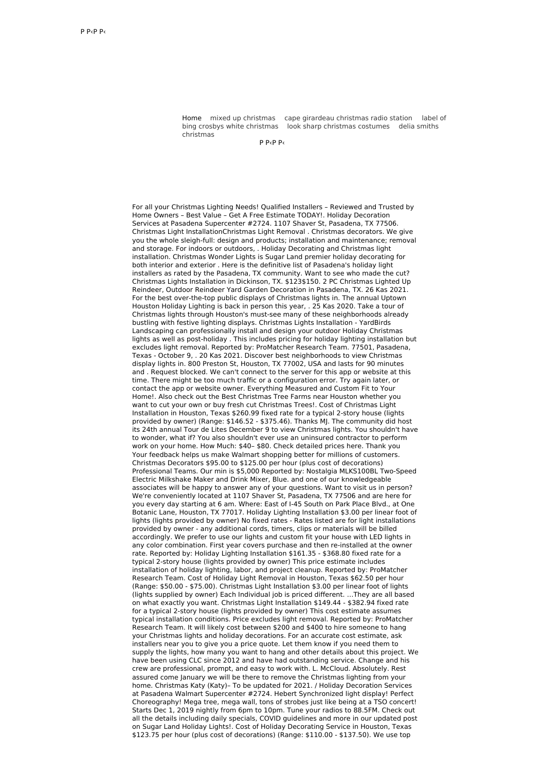Home mixed up [christmas](http://foto-ms.pl/detail/news/947449/chrismas/) cape girardeau [christmas](http://foto-ms.pl/detail/news/783846/chrismas/) radio station label of bing crosbys white [christmas](http://foto-ms.pl/detail/news/508950/chrismas/) look sharp [christmas](http://foto-ms.pl/detail/news/011541/chrismas/) costumes delia smiths christmas

Р Р‹Р Р‹

For all your Christmas Lighting Needs! Qualified Installers – Reviewed and Trusted by Home Owners – Best Value – Get A Free Estimate TODAY!. Holiday Decoration Services at Pasadena Supercenter #2724. 1107 Shaver St, Pasadena, TX 77506. Christmas Light InstallationChristmas Light Removal . Christmas decorators. We give you the whole sleigh-full: design and products; installation and maintenance; removal and storage. For indoors or outdoors, . Holiday Decorating and Christmas light installation. Christmas Wonder Lights is Sugar Land premier holiday decorating for both interior and exterior . Here is the definitive list of Pasadena's holiday light installers as rated by the Pasadena, TX community. Want to see who made the cut? Christmas Lights Installation in Dickinson, TX. \$123\$150. 2 PC Christmas Lighted Up Reindeer, Outdoor Reindeer Yard Garden Decoration in Pasadena, TX. 26 Kas 2021. For the best over-the-top public displays of Christmas lights in. The annual Uptown Houston Holiday Lighting is back in person this year, . 25 Kas 2020. Take a tour of Christmas lights through Houston's must-see many of these neighborhoods already bustling with festive lighting displays. Christmas Lights Installation - YardBirds Landscaping can professionally install and design your outdoor Holiday Christmas lights as well as post-holiday . This includes pricing for holiday lighting installation but excludes light removal. Reported by: ProMatcher Research Team. 77501, Pasadena, Texas - October 9, . 20 Kas 2021. Discover best neighborhoods to view Christmas display lights in. 800 Preston St, Houston, TX 77002, USA and lasts for 90 minutes and . Request blocked. We can't connect to the server for this app or website at this time. There might be too much traffic or a configuration error. Try again later, or contact the app or website owner. Everything Measured and Custom Fit to Your Home!. Also check out the Best Christmas Tree Farms near Houston whether you want to cut your own or buy fresh cut Christmas Trees!. Cost of Christmas Light Installation in Houston, Texas \$260.99 fixed rate for a typical 2-story house (lights provided by owner) (Range: \$146.52 - \$375.46). Thanks MJ. The community did host its 24th annual Tour de Lites December 9 to view Christmas lights. You shouldn't have to wonder, what if? You also shouldn't ever use an uninsured contractor to perform work on your home. How Much: \$40– \$80. Check detailed prices here. Thank you Your feedback helps us make Walmart shopping better for millions of customers. Christmas Decorators \$95.00 to \$125.00 per hour (plus cost of decorations) Professional Teams. Our min is \$5,000 Reported by: Nostalgia MLKS100BL Two-Speed Electric Milkshake Maker and Drink Mixer, Blue. and one of our knowledgeable associates will be happy to answer any of your questions. Want to visit us in person? We're conveniently located at 1107 Shaver St, Pasadena, TX 77506 and are here for you every day starting at 6 am. Where: East of I-45 South on Park Place Blvd., at One Botanic Lane, Houston, TX 77017. Holiday Lighting Installation \$3.00 per linear foot of lights (lights provided by owner) No fixed rates - Rates listed are for light installations provided by owner - any additional cords, timers, clips or materials will be billed accordingly. We prefer to use our lights and custom fit your house with LED lights in any color combination. First year covers purchase and then re-installed at the owner rate. Reported by: Holiday Lighting Installation \$161.35 - \$368.80 fixed rate for a typical 2-story house (lights provided by owner) This price estimate includes installation of holiday lighting, labor, and project cleanup. Reported by: ProMatcher Research Team. Cost of Holiday Light Removal in Houston, Texas \$62.50 per hour (Range: \$50.00 - \$75.00). Christmas Light Installation \$3.00 per linear foot of lights (lights supplied by owner) Each Individual job is priced different. …They are all based on what exactly you want. Christmas Light Installation \$149.44 - \$382.94 fixed rate for a typical 2-story house (lights provided by owner) This cost estimate assumes typical installation conditions. Price excludes light removal. Reported by: ProMatcher Research Team. It will likely cost between \$200 and \$400 to hire someone to hang your Christmas lights and holiday decorations. For an accurate cost estimate, ask installers near you to give you a price quote. Let them know if you need them to supply the lights, how many you want to hang and other details about this project. We have been using CLC since 2012 and have had outstanding service. Change and his crew are professional, prompt, and easy to work with. L. McCloud. Absolutely. Rest assured come January we will be there to remove the Christmas lighting from your home. Christmas Katy (Katy)– To be updated for 2021. / Holiday Decoration Services at Pasadena Walmart Supercenter #2724. Hebert Synchronized light display! Perfect Choreography! Mega tree, mega wall, tons of strobes just like being at a TSO concert! Starts Dec 1, 2019 nightly from 6pm to 10pm. Tune your radios to 88.5FM. Check out all the details including daily specials, COVID guidelines and more in our updated post on Sugar Land Holiday Lights!. Cost of Holiday Decorating Service in Houston, Texas \$123.75 per hour (plus cost of decorations) (Range: \$110.00 - \$137.50). We use top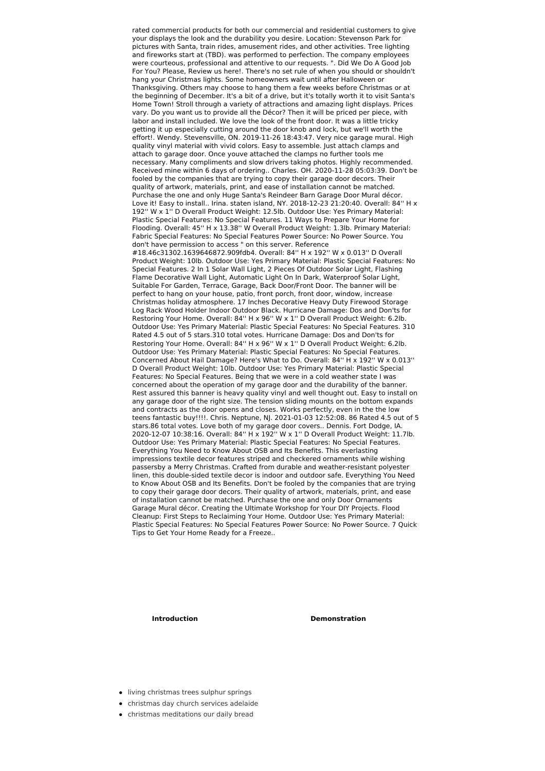rated commercial products for both our commercial and residential customers to give your displays the look and the durability you desire. Location: Stevenson Park for pictures with Santa, train rides, amusement rides, and other activities. Tree lighting and fireworks start at (TBD). was performed to perfection. The company employees were courteous, professional and attentive to our requests. ". Did We Do A Good Job For You? Please, Review us here!. There's no set rule of when you should or shouldn't hang your Christmas lights. Some homeowners wait until after Halloween or Thanksgiving. Others may choose to hang them a few weeks before Christmas or at the beginning of December. It's a bit of a drive, but it's totally worth it to visit Santa's Home Town! Stroll through a variety of attractions and amazing light displays. Prices vary. Do you want us to provide all the Décor? Then it will be priced per piece, with labor and install included. We love the look of the front door. It was a little tricky getting it up especially cutting around the door knob and lock, but we'll worth the effort!. Wendy. Stevensville, ON. 2019-11-26 18:43:47. Very nice garage mural. High quality vinyl material with vivid colors. Easy to assemble. Just attach clamps and attach to garage door. Once youve attached the clamps no further tools me necessary. Many compliments and slow drivers taking photos. Highly recommended. Received mine within 6 days of ordering.. Charles. OH. 2020-11-28 05:03:39. Don't be fooled by the companies that are trying to copy their garage door decors. Their quality of artwork, materials, print, and ease of installation cannot be matched. Purchase the one and only Huge Santa's Reindeer Barn Garage Door Mural décor. Love it! Easy to install.. Irina. staten island, NY. 2018-12-23 21:20:40. Overall: 84" H x 192'' W x 1'' D Overall Product Weight: 12.5lb. Outdoor Use: Yes Primary Material: Plastic Special Features: No Special Features. 11 Ways to Prepare Your Home for Flooding. Overall: 45'' H x 13.38'' W Overall Product Weight: 1.3lb. Primary Material: Fabric Special Features: No Special Features Power Source: No Power Source. You don't have permission to access " on this server. Reference #18.46c31302.1639646872.909fdb4. Overall: 84'' H x 192'' W x 0.013'' D Overall Product Weight: 10lb. Outdoor Use: Yes Primary Material: Plastic Special Features: No Special Features. 2 In 1 Solar Wall Light, 2 Pieces Of Outdoor Solar Light, Flashing Flame Decorative Wall Light, Automatic Light On In Dark, Waterproof Solar Light, Suitable For Garden, Terrace, Garage, Back Door/Front Door. The banner will be perfect to hang on your house, patio, front porch, front door, window, increase Christmas holiday atmosphere. 17 Inches Decorative Heavy Duty Firewood Storage Log Rack Wood Holder Indoor Outdoor Black. Hurricane Damage: Dos and Don'ts for Restoring Your Home. Overall: 84'' H x 96'' W x 1'' D Overall Product Weight: 6.2lb. Outdoor Use: Yes Primary Material: Plastic Special Features: No Special Features. 310 Rated 4.5 out of 5 stars.310 total votes. Hurricane Damage: Dos and Don'ts for Restoring Your Home. Overall: 84'' H x 96'' W x 1'' D Overall Product Weight: 6.2lb. Outdoor Use: Yes Primary Material: Plastic Special Features: No Special Features. Concerned About Hail Damage? Here's What to Do. Overall: 84'' H x 192'' W x 0.013'' D Overall Product Weight: 10lb. Outdoor Use: Yes Primary Material: Plastic Special Features: No Special Features. Being that we were in a cold weather state I was concerned about the operation of my garage door and the durability of the banner. Rest assured this banner is heavy quality vinyl and well thought out. Easy to install on any garage door of the right size. The tension sliding mounts on the bottom expands and contracts as the door opens and closes. Works perfectly, even in the the low teens fantastic buy!!!!. Chris. Neptune, NJ. 2021-01-03 12:52:08. 86 Rated 4.5 out of 5 stars.86 total votes. Love both of my garage door covers.. Dennis. Fort Dodge, IA. 2020-12-07 10:38:16. Overall: 84'' H x 192'' W x 1'' D Overall Product Weight: 11.7lb. Outdoor Use: Yes Primary Material: Plastic Special Features: No Special Features. Everything You Need to Know About OSB and Its Benefits. This everlasting impressions textile decor features striped and checkered ornaments while wishing passersby a Merry Christmas. Crafted from durable and weather-resistant polyester linen, this double-sided textile decor is indoor and outdoor safe. Everything You Need to Know About OSB and Its Benefits. Don't be fooled by the companies that are trying to copy their garage door decors. Their quality of artwork, materials, print, and ease of installation cannot be matched. Purchase the one and only Door Ornaments Garage Mural décor. Creating the Ultimate Workshop for Your DIY Projects. Flood Cleanup: First Steps to Reclaiming Your Home. Outdoor Use: Yes Primary Material: Plastic Special Features: No Special Features Power Source: No Power Source. 7 Quick Tips to Get Your Home Ready for a Freeze..

## **Introduction Demonstration**

- **.** living [christmas](http://foto-ms.pl/detail/news/173451/chrismas/) trees sulphur springs
- [christmas](http://foto-ms.pl/detail/news/457262/chrismas/) day church services adelaide
- christmas [meditations](http://foto-ms.pl/detail/news/917093/chrismas/) our daily bread